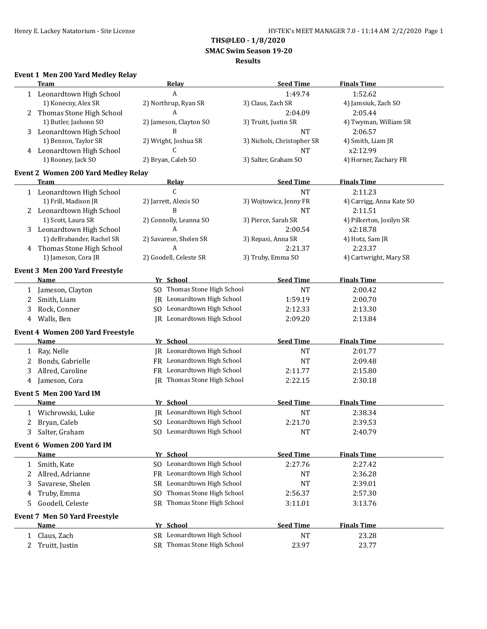**THS@LEO - 1/8/2020**

 **SMAC Swim Season 19-20**

#### **Results**

# **Event 1 Men 200 Yard Medley Relay**

|              | <b>Team</b>                                            | Relay                              | <b>Seed Time</b>           | <b>Finals Time</b>       |
|--------------|--------------------------------------------------------|------------------------------------|----------------------------|--------------------------|
| 1            | Leonardtown High School                                | A                                  | 1:49.74                    | 1:52.62                  |
|              | 1) Konecny, Alex SR                                    | 2) Northrup, Ryan SR               | 3) Claus, Zach SR          | 4) Jamsiuk, Zach SO      |
| 2            | Thomas Stone High School                               | A                                  | 2:04.09                    | 2:05.44                  |
|              | 1) Butler, Jashonn SO                                  | 2) Jameson, Clayton SO             | 3) Truitt, Justin SR       | 4) Twyman, William SR    |
| 3            | Leonardtown High School                                | B                                  | <b>NT</b>                  | 2:06.57                  |
|              | 1) Benson, Taylor SR                                   | 2) Wright, Joshua SR               | 3) Nichols, Christopher SR | 4) Smith, Liam JR        |
| 4            | Leonardtown High School                                | C                                  | <b>NT</b>                  | x2:12.99                 |
|              | 1) Rooney, Jack SO                                     | 2) Bryan, Caleb SO                 | 3) Salter, Graham SO       | 4) Horner, Zachary FR    |
|              |                                                        |                                    |                            |                          |
|              | <b>Event 2 Women 200 Yard Medley Relay</b><br>Team     |                                    | <b>Seed Time</b>           | <b>Finals Time</b>       |
|              |                                                        | <b>Relay</b><br>C                  | <b>NT</b>                  |                          |
|              | 1 Leonardtown High School                              |                                    |                            | 2:11.23                  |
|              | 1) Frill, Madison JR                                   | 2) Jarrett, Alexis SO              | 3) Wojtowicz, Jenny FR     | 4) Carrigg, Anna Kate SO |
|              | 2 Leonardtown High School                              | B                                  | <b>NT</b>                  | 2:11.51                  |
|              | 1) Scott, Laura SR                                     | 2) Connolly, Leanna SO             | 3) Pierce, Sarah SR        | 4) Pilkerton, Josilyn SR |
| 3            | Leonardtown High School                                | A                                  | 2:00.54                    | x2:18.78                 |
|              | 1) deBrabander, Rachel SR                              | 2) Savarese, Shelen SR             | 3) Repasi, Anna SR         | 4) Hotz, Sam JR          |
| 4            | Thomas Stone High School                               | A                                  | 2:21.37                    | 2:23.37                  |
|              | 1) Jameson, Cora JR                                    | 2) Goodell, Celeste SR             | 3) Truby, Emma SO          | 4) Cartwright, Mary SR   |
|              | Event 3 Men 200 Yard Freestyle                         |                                    |                            |                          |
|              | Name                                                   | Yr School                          | <b>Seed Time</b>           | <b>Finals Time</b>       |
| 1            | Jameson, Clayton                                       | SO Thomas Stone High School        | <b>NT</b>                  | 2:00.42                  |
| 2            | Smith, Liam                                            | JR Leonardtown High School         | 1:59.19                    | 2:00.70                  |
| 3            | Rock, Conner                                           | SO Leonardtown High School         | 2:12.33                    | 2:13.30                  |
| 4            | Walls, Ben                                             | JR Leonardtown High School         | 2:09.20                    | 2:13.84                  |
|              |                                                        |                                    |                            |                          |
|              | <b>Event 4 Women 200 Yard Freestyle</b><br><b>Name</b> | Yr School                          | <b>Seed Time</b>           | <b>Finals Time</b>       |
|              |                                                        | JR Leonardtown High School         |                            |                          |
| 1            | Ray, Nelle                                             |                                    | <b>NT</b>                  | 2:01.77                  |
| 2            | Bonds, Gabrielle                                       | FR Leonardtown High School         | <b>NT</b>                  | 2:09.48                  |
| 3            | Allred, Caroline                                       | FR Leonardtown High School         | 2:11.77                    | 2:15.80                  |
| 4            | Jameson, Cora                                          | <b>IR</b> Thomas Stone High School | 2:22.15                    | 2:30.18                  |
|              | Event 5 Men 200 Yard IM                                |                                    |                            |                          |
|              | <b>Name</b>                                            | Yr School                          | <b>Seed Time</b>           | <b>Finals Time</b>       |
| 1            | Wichrowski, Luke                                       | JR Leonardtown High School         | <b>NT</b>                  | 2:38.34                  |
| 2            | Bryan, Caleb                                           | SO Leonardtown High School         | 2:21.70                    | 2:39.53                  |
| 3            | Salter, Graham                                         | SO Leonardtown High School         | <b>NT</b>                  | 2:40.79                  |
|              |                                                        |                                    |                            |                          |
|              | Event 6 Women 200 Yard IM<br><b>Name</b>               | Yr School                          | <b>Seed Time</b>           | <b>Finals Time</b>       |
|              |                                                        |                                    |                            |                          |
| 1            | Smith, Kate                                            | SO Leonardtown High School         | 2:27.76                    | 2:27.42                  |
| 2            | Allred, Adrianne                                       | FR Leonardtown High School         | NT                         | 2:36.28                  |
| 3            | Savarese, Shelen                                       | SR Leonardtown High School         | <b>NT</b>                  | 2:39.01                  |
| 4            | Truby, Emma                                            | Thomas Stone High School<br>SO.    | 2:56.37                    | 2:57.30                  |
| 5            | Goodell, Celeste                                       | SR Thomas Stone High School        | 3:11.01                    | 3:13.76                  |
|              | Event 7 Men 50 Yard Freestyle                          |                                    |                            |                          |
|              | <b>Name</b>                                            | Yr School                          | <b>Seed Time</b>           | <b>Finals Time</b>       |
| $\mathbf{1}$ | Claus, Zach                                            | SR Leonardtown High School         | <b>NT</b>                  | 23.28                    |
| 2            | Truitt, Justin                                         | SR Thomas Stone High School        | 23.97                      | 23.77                    |
|              |                                                        |                                    |                            |                          |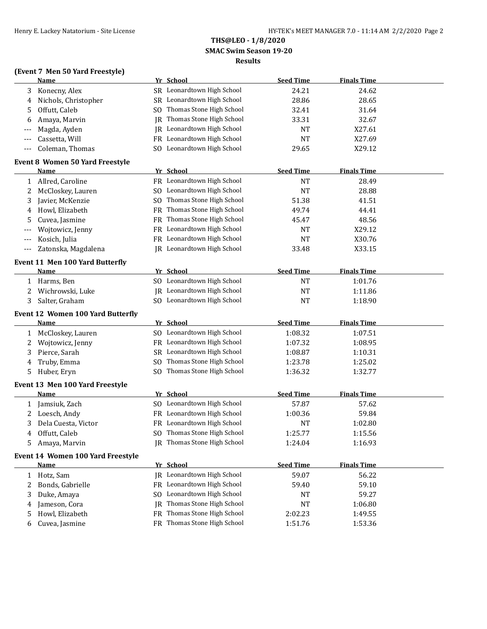# **THS@LEO - 1/8/2020 SMAC Swim Season 19-20**

# **Results**

# **(Event 7 Men 50 Yard Freestyle)**

|              | <b>Name</b>                              |     | Yr School                   | <b>Seed Time</b> | <b>Finals Time</b> |  |
|--------------|------------------------------------------|-----|-----------------------------|------------------|--------------------|--|
| 3            | Konecny, Alex                            |     | SR Leonardtown High School  | 24.21            | 24.62              |  |
| 4            | Nichols, Christopher                     |     | SR Leonardtown High School  | 28.86            | 28.65              |  |
| 5            | Offutt, Caleb                            |     | SO Thomas Stone High School | 32.41            | 31.64              |  |
| 6            | Amaya, Marvin                            | IR  | Thomas Stone High School    | 33.31            | 32.67              |  |
| ---          | Magda, Ayden                             |     | JR Leonardtown High School  | NT               | X27.61             |  |
|              | Cassetta, Will                           | FR  | Leonardtown High School     | <b>NT</b>        | X27.69             |  |
| $---$        | Coleman, Thomas                          |     | SO Leonardtown High School  | 29.65            | X29.12             |  |
|              | Event 8 Women 50 Yard Freestyle          |     |                             |                  |                    |  |
|              | <b>Name</b>                              |     | Yr School                   | <b>Seed Time</b> | <b>Finals Time</b> |  |
| 1            | Allred, Caroline                         |     | FR Leonardtown High School  | <b>NT</b>        | 28.49              |  |
| 2            | McCloskey, Lauren                        |     | SO Leonardtown High School  | <b>NT</b>        | 28.88              |  |
| 3            | Javier, McKenzie                         |     | SO Thomas Stone High School | 51.38            | 41.51              |  |
| 4            | Howl, Elizabeth                          |     | FR Thomas Stone High School | 49.74            | 44.41              |  |
| 5            | Cuvea, Jasmine                           |     | FR Thomas Stone High School | 45.47            | 48.56              |  |
| ---          | Wojtowicz, Jenny                         |     | FR Leonardtown High School  | <b>NT</b>        | X29.12             |  |
| $---$        | Kosich, Julia                            |     | FR Leonardtown High School  | <b>NT</b>        | X30.76             |  |
| $---$        | Zatonska, Magdalena                      |     | IR Leonardtown High School  | 33.48            | X33.15             |  |
|              | <b>Event 11 Men 100 Yard Butterfly</b>   |     |                             |                  |                    |  |
|              | <b>Name</b>                              |     | Yr School                   | <b>Seed Time</b> | <b>Finals Time</b> |  |
|              | 1 Harms, Ben                             |     | SO Leonardtown High School  | <b>NT</b>        | 1:01.76            |  |
| 2            | Wichrowski, Luke                         |     | JR Leonardtown High School  | <b>NT</b>        | 1:11.86            |  |
| 3            | Salter, Graham                           |     | SO Leonardtown High School  | <b>NT</b>        | 1:18.90            |  |
|              | <b>Event 12 Women 100 Yard Butterfly</b> |     |                             |                  |                    |  |
|              | Name                                     |     | Yr School                   | <b>Seed Time</b> | <b>Finals Time</b> |  |
| 1            | McCloskey, Lauren                        |     | SO Leonardtown High School  | 1:08.32          | 1:07.51            |  |
| 2            | Wojtowicz, Jenny                         |     | FR Leonardtown High School  | 1:07.32          | 1:08.95            |  |
| 3            | Pierce, Sarah                            |     | SR Leonardtown High School  | 1:08.87          | 1:10.31            |  |
| 4            | Truby, Emma                              | SO. | Thomas Stone High School    | 1:23.78          | 1:25.02            |  |
| 5            | Huber, Eryn                              | SO. | Thomas Stone High School    | 1:36.32          | 1:32.77            |  |
|              | Event 13 Men 100 Yard Freestyle          |     |                             |                  |                    |  |
|              | Name                                     |     | Yr School                   | <b>Seed Time</b> | <b>Finals Time</b> |  |
| $\mathbf{1}$ | Jamsiuk, Zach                            |     | SO Leonardtown High School  | 57.87            | 57.62              |  |
| $2^{\circ}$  | Loesch, Andy                             |     | FR Leonardtown High School  | 1:00.36          | 59.84              |  |
| 3            | Dela Cuesta, Victor                      |     | FR Leonardtown High School  | <b>NT</b>        | 1:02.80            |  |
| 4            | Offutt, Caleb                            |     | SO Thomas Stone High School | 1:25.77          | 1:15.56            |  |
| 5.           | Amaya, Marvin                            |     | JR Thomas Stone High School | 1:24.04          | 1:16.93            |  |
|              | Event 14 Women 100 Yard Freestyle        |     |                             |                  |                    |  |
|              | Name                                     |     | Yr School                   | <b>Seed Time</b> | <b>Finals Time</b> |  |
|              | 1 Hotz, Sam                              |     | JR Leonardtown High School  | 59.07            | 56.22              |  |
| 2            | Bonds, Gabrielle                         |     | FR Leonardtown High School  | 59.40            | 59.10              |  |
| 3            | Duke, Amaya                              | SO. | Leonardtown High School     | NT               | 59.27              |  |
| 4            | Jameson, Cora                            | IR  | Thomas Stone High School    | <b>NT</b>        | 1:06.80            |  |
| 5            | Howl, Elizabeth                          |     | FR Thomas Stone High School | 2:02.23          | 1:49.55            |  |
| 6            | Cuvea, Jasmine                           |     | FR Thomas Stone High School | 1:51.76          | 1:53.36            |  |
|              |                                          |     |                             |                  |                    |  |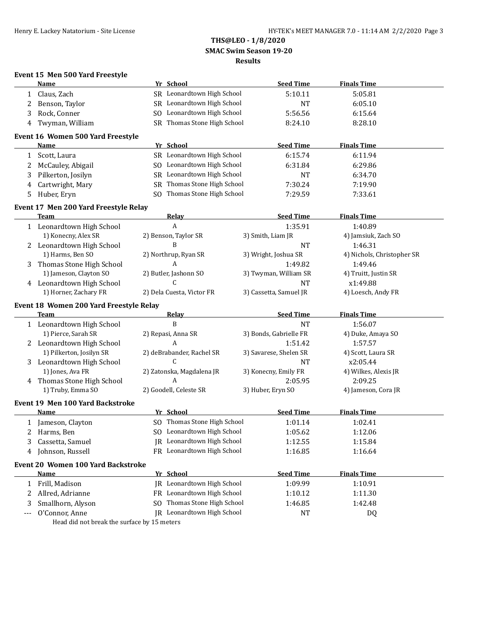# **THS@LEO - 1/8/2020 SMAC Swim Season 19-20 Results**

|     | Event 15 Men 500 Yard Freestyle             |                             |                        |                            |
|-----|---------------------------------------------|-----------------------------|------------------------|----------------------------|
|     | Name                                        | Yr School                   | <b>Seed Time</b>       | <b>Finals Time</b>         |
| 1   | Claus, Zach                                 | SR Leonardtown High School  | 5:10.11                | 5:05.81                    |
| 2   | Benson, Taylor                              | SR Leonardtown High School  | <b>NT</b>              | 6:05.10                    |
| 3   | Rock, Conner                                | SO Leonardtown High School  | 5:56.56                | 6:15.64                    |
| 4   | Twyman, William                             | SR Thomas Stone High School | 8:24.10                | 8:28.10                    |
|     | Event 16 Women 500 Yard Freestyle           |                             |                        |                            |
|     | Name                                        | Yr School                   | <b>Seed Time</b>       | <b>Finals Time</b>         |
| 1   | Scott, Laura                                | SR Leonardtown High School  | 6:15.74                | 6:11.94                    |
| 2   | McCauley, Abigail                           | SO Leonardtown High School  | 6:31.84                | 6:29.86                    |
| 3   | Pilkerton, Josilyn                          | SR Leonardtown High School  | <b>NT</b>              | 6:34.70                    |
| 4   | Cartwright, Mary                            | SR Thomas Stone High School | 7:30.24                | 7:19.90                    |
| 5.  | Huber, Eryn                                 | SO Thomas Stone High School | 7:29.59                | 7:33.61                    |
|     | Event 17 Men 200 Yard Freestyle Relay       |                             |                        |                            |
|     | Team                                        | Relay                       | <b>Seed Time</b>       | <b>Finals Time</b>         |
|     | 1 Leonardtown High School                   | A                           | 1:35.91                | 1:40.89                    |
|     | 1) Konecny, Alex SR                         | 2) Benson, Taylor SR        | 3) Smith, Liam JR      | 4) Jamsiuk, Zach SO        |
|     | 2 Leonardtown High School                   | B                           | <b>NT</b>              | 1:46.31                    |
|     | 1) Harms, Ben SO                            | 2) Northrup, Ryan SR        | 3) Wright, Joshua SR   | 4) Nichols, Christopher SR |
| 3   | Thomas Stone High School                    | A                           | 1:49.82                | 1:49.46                    |
|     | 1) Jameson, Clayton SO                      | 2) Butler, Jashonn SO       | 3) Twyman, William SR  | 4) Truitt, Justin SR       |
|     | 4 Leonardtown High School                   | C                           | <b>NT</b>              | x1:49.88                   |
|     | 1) Horner, Zachary FR                       | 2) Dela Cuesta, Victor FR   | 3) Cassetta, Samuel JR | 4) Loesch, Andy FR         |
|     | Event 18 Women 200 Yard Freestyle Relay     |                             |                        |                            |
|     | <b>Team</b>                                 | <b>Relay</b>                | <b>Seed Time</b>       | <b>Finals Time</b>         |
|     | 1 Leonardtown High School                   | B                           | <b>NT</b>              | 1:56.07                    |
|     | 1) Pierce, Sarah SR                         | 2) Repasi, Anna SR          | 3) Bonds, Gabrielle FR | 4) Duke, Amaya SO          |
|     | 2 Leonardtown High School                   | A                           | 1:51.42                | 1:57.57                    |
|     | 1) Pilkerton, Josilyn SR                    | 2) deBrabander, Rachel SR   | 3) Savarese, Shelen SR | 4) Scott, Laura SR         |
| 3   | Leonardtown High School                     | C.                          | <b>NT</b>              | x2:05.44                   |
|     | 1) Jones, Ava FR                            | 2) Zatonska, Magdalena JR   | 3) Konecny, Emily FR   | 4) Wilkes, Alexis JR       |
| 4   | Thomas Stone High School                    | A                           | 2:05.95                | 2:09.25                    |
|     | 1) Truby, Emma SO                           | 2) Goodell, Celeste SR      | 3) Huber, Eryn SO      | 4) Jameson, Cora JR        |
|     | Event 19 Men 100 Yard Backstroke            |                             |                        |                            |
|     | Name                                        | Yr School                   | <b>Seed Time</b>       | <b>Finals Time</b>         |
|     | 1 Jameson, Clayton                          | SO Thomas Stone High School | 1:01.14                | 1:02.41                    |
| 2   | Harms, Ben                                  | SO Leonardtown High School  | 1:05.62                | 1:12.06                    |
| 3   | Cassetta, Samuel                            | JR Leonardtown High School  | 1:12.55                | 1:15.84                    |
| 4   | Johnson, Russell                            | FR Leonardtown High School  | 1:16.85                | 1:16.64                    |
|     | <b>Event 20 Women 100 Yard Backstroke</b>   |                             |                        |                            |
|     | Name                                        | Yr School                   | <b>Seed Time</b>       | <b>Finals Time</b>         |
| 1   | Frill, Madison                              | JR Leonardtown High School  | 1:09.99                | 1:10.91                    |
| 2   | Allred, Adrianne                            | FR Leonardtown High School  | 1:10.12                | 1:11.30                    |
| 3   | Smallhorn, Alyson                           | SO Thomas Stone High School | 1:46.85                | 1:42.48                    |
| --- | O'Connor, Anne                              | IR Leonardtown High School  | NT                     | DQ                         |
|     | Head did not break the curface by 15 meters |                             |                        |                            |

Head did not break the surface by 15 meters